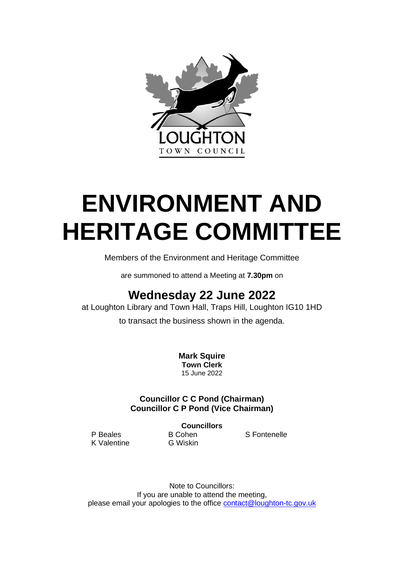

# **ENVIRONMENT AND HERITAGE COMMITTEE**

Members of the Environment and Heritage Committee

are summoned to attend a Meeting at **7.30pm** on

# **Wednesday 22 June 2022**

at Loughton Library and Town Hall, Traps Hill, Loughton IG10 1HD

to transact the business shown in the agenda.

**Mark Squire Town Clerk** 15 June 2022

# **Councillor C C Pond (Chairman) Councillor C P Pond (Vice Chairman)**

**Councillors**

K Valentine G Wiskin

P Beales B Cohen S Fontenelle

Note to Councillors: If you are unable to attend the meeting, please email your apologies to the office **[contact@loughton-tc.gov.uk](mailto:contact@loughton-tc.gov.uk)**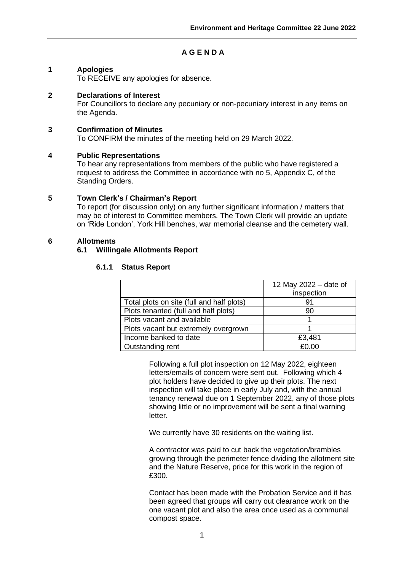# **A G E N D A**

# **1 Apologies**

To RECEIVE any apologies for absence.

#### **2 Declarations of Interest**

For Councillors to declare any pecuniary or non-pecuniary interest in any items on the Agenda.

#### **3 Confirmation of Minutes**

To CONFIRM the minutes of the meeting held on 29 March 2022.

#### **4 Public Representations**

To hear any representations from members of the public who have registered a request to address the Committee in accordance with no 5, Appendix C, of the Standing Orders.

#### **5 Town Clerk's / Chairman's Report**

To report (for discussion only) on any further significant information / matters that may be of interest to Committee members. The Town Clerk will provide an update on 'Ride London', York Hill benches, war memorial cleanse and the cemetery wall.

#### **6 Allotments**

#### **6.1 Willingale Allotments Report**

#### **6.1.1 Status Report**

|                                           | 12 May 2022 - date of |  |
|-------------------------------------------|-----------------------|--|
|                                           | inspection            |  |
| Total plots on site (full and half plots) | 91                    |  |
| Plots tenanted (full and half plots)      | 90                    |  |
| Plots vacant and available                |                       |  |
| Plots vacant but extremely overgrown      |                       |  |
| Income banked to date                     | £3,481                |  |
| Outstanding rent                          | £ቦ 00                 |  |

Following a full plot inspection on 12 May 2022, eighteen letters/emails of concern were sent out. Following which 4 plot holders have decided to give up their plots. The next inspection will take place in early July and, with the annual tenancy renewal due on 1 September 2022, any of those plots showing little or no improvement will be sent a final warning letter.

We currently have 30 residents on the waiting list.

A contractor was paid to cut back the vegetation/brambles growing through the perimeter fence dividing the allotment site and the Nature Reserve, price for this work in the region of £300.

Contact has been made with the Probation Service and it has been agreed that groups will carry out clearance work on the one vacant plot and also the area once used as a communal compost space.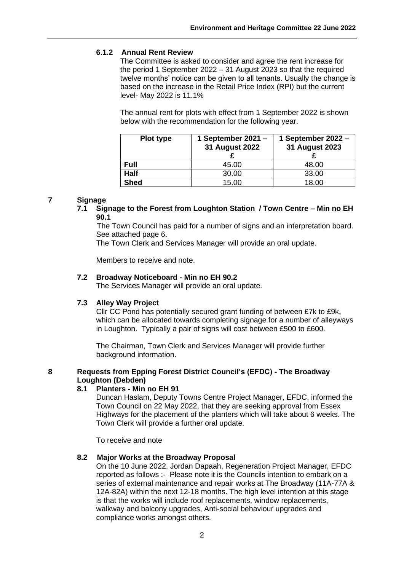# **6.1.2 Annual Rent Review**

The Committee is asked to consider and agree the rent increase for the period 1 September 2022 – 31 August 2023 so that the required twelve months' notice can be given to all tenants. Usually the change is based on the increase in the Retail Price Index (RPI) but the current level- May 2022 is 11.1%

The annual rent for plots with effect from 1 September 2022 is shown below with the recommendation for the following year.

| Plot type   | 1 September 2021 -<br>31 August 2022 | 1 September 2022 -<br>31 August 2023 |
|-------------|--------------------------------------|--------------------------------------|
| Full        | 45.00                                | 48.00                                |
| <b>Half</b> | 30.00                                | 33.00                                |
| <b>Shed</b> | 15.00                                | 18.00                                |

#### **7 Signage**

**7.1 Signage to the Forest from Loughton Station / Town Centre – Min no EH 90.1**

The Town Council has paid for a number of signs and an interpretation board. See attached page 6.

The Town Clerk and Services Manager will provide an oral update.

Members to receive and note.

#### **7.2 Broadway Noticeboard - Min no EH 90.2**

The Services Manager will provide an oral update.

#### **7.3 Alley Way Project**

Cllr CC Pond has potentially secured grant funding of between £7k to £9k, which can be allocated towards completing signage for a number of alleyways in Loughton. Typically a pair of signs will cost between £500 to £600.

The Chairman, Town Clerk and Services Manager will provide further background information.

#### **8 Requests from Epping Forest District Council's (EFDC) - The Broadway Loughton (Debden)**

#### **8.1 Planters - Min no EH 91**

Duncan Haslam, Deputy Towns Centre Project Manager, EFDC, informed the Town Council on 22 May 2022, that they are seeking approval from Essex Highways for the placement of the planters which will take about 6 weeks. The Town Clerk will provide a further oral update.

To receive and note

#### **8.2 Major Works at the Broadway Proposal**

On the 10 June 2022, Jordan Dapaah, Regeneration Project Manager, EFDC reported as follows :- Please note it is the Councils intention to embark on a series of external maintenance and repair works at The Broadway (11A-77A & 12A-82A) within the next 12-18 months. The high level intention at this stage is that the works will include roof replacements, window replacements, walkway and balcony upgrades, Anti-social behaviour upgrades and compliance works amongst others.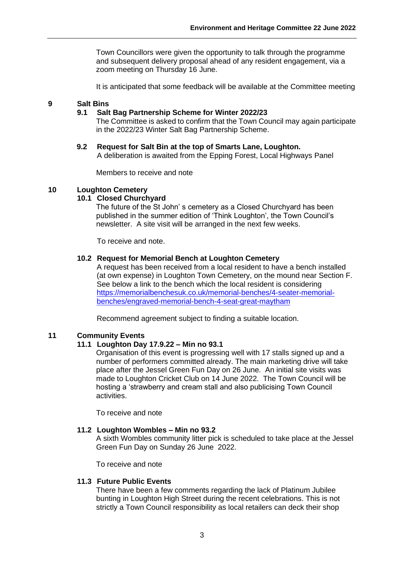Town Councillors were given the opportunity to talk through the programme and subsequent delivery proposal ahead of any resident engagement, via a zoom meeting on Thursday 16 June.

It is anticipated that some feedback will be available at the Committee meeting

#### **9 Salt Bins**

#### **9.1 Salt Bag Partnership Scheme for Winter 2022/23**

The Committee is asked to confirm that the Town Council may again participate in the 2022/23 Winter Salt Bag Partnership Scheme.

#### **9.2 Request for Salt Bin at the top of Smarts Lane, Loughton.** A deliberation is awaited from the Epping Forest, Local Highways Panel

Members to receive and note

#### **10 Loughton Cemetery**

#### **10.1 Closed Churchyard**

The future of the St John' s cemetery as a Closed Churchyard has been published in the summer edition of 'Think Loughton', the Town Council's newsletter. A site visit will be arranged in the next few weeks.

To receive and note.

#### **10.2 Request for Memorial Bench at Loughton Cemetery**

A request has been received from a local resident to have a bench installed (at own expense) in Loughton Town Cemetery, on the mound near Section F. See below a link to the bench which the local resident is considering [https://memorialbenchesuk.co.uk/memorial-benches/4-seater-memorial](https://memorialbenchesuk.co.uk/memorial-benches/4-seater-memorial-benches/engraved-memorial-bench-4-seat-great-maytham)[benches/engraved-memorial-bench-4-seat-great-maytham](https://memorialbenchesuk.co.uk/memorial-benches/4-seater-memorial-benches/engraved-memorial-bench-4-seat-great-maytham)

Recommend agreement subject to finding a suitable location.

#### **11 Community Events**

#### **11.1 Loughton Day 17.9.22 – Min no 93.1**

Organisation of this event is progressing well with 17 stalls signed up and a number of performers committed already. The main marketing drive will take place after the Jessel Green Fun Day on 26 June. An initial site visits was made to Loughton Cricket Club on 14 June 2022. The Town Council will be hosting a 'strawberry and cream stall and also publicising Town Council activities.

To receive and note

#### **11.2 Loughton Wombles – Min no 93.2**

A sixth Wombles community litter pick is scheduled to take place at the Jessel Green Fun Day on Sunday 26 June 2022.

To receive and note

#### **11.3 Future Public Events**

There have been a few comments regarding the lack of Platinum Jubilee bunting in Loughton High Street during the recent celebrations. This is not strictly a Town Council responsibility as local retailers can deck their shop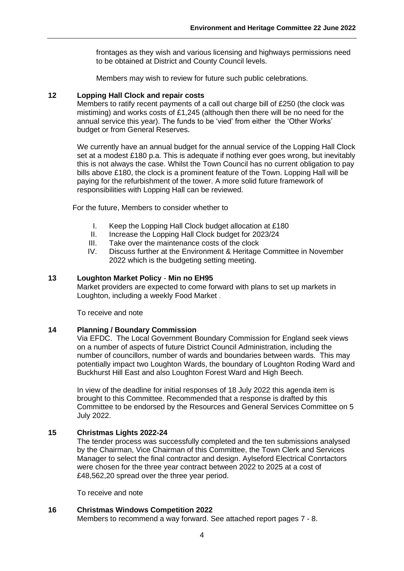frontages as they wish and various licensing and highways permissions need to be obtained at District and County Council levels.

Members may wish to review for future such public celebrations.

#### **12 Lopping Hall Clock and repair costs**

Members to ratify recent payments of a call out charge bill of £250 (the clock was mistiming) and works costs of £1,245 (although then there will be no need for the annual service this year). The funds to be 'vied' from either the 'Other Works' budget or from General Reserves.

We currently have an annual budget for the annual service of the Lopping Hall Clock set at a modest £180 p.a. This is adequate if nothing ever goes wrong, but inevitably this is not always the case. Whilst the Town Council has no current obligation to pay bills above £180, the clock is a prominent feature of the Town. Lopping Hall will be paying for the refurbishment of the tower. A more solid future framework of responsibilities with Lopping Hall can be reviewed.

For the future, Members to consider whether to

- I. Keep the Lopping Hall Clock budget allocation at £180
- II. Increase the Lopping Hall Clock budget for 2023/24
- III. Take over the maintenance costs of the clock
- IV. Discuss further at the Environment & Heritage Committee in November 2022 which is the budgeting setting meeting.

#### **13 Loughton Market Policy** - **Min no EH95**

Market providers are expected to come forward with plans to set up markets in Loughton, including a weekly Food Market .

To receive and note

#### **14 Planning / Boundary Commission**

Via EFDC. The Local Government Boundary Commission for England seek views on a number of aspects of future District Council Administration, including the number of councillors, number of wards and boundaries between wards. This may potentially impact two Loughton Wards, the boundary of Loughton Roding Ward and Buckhurst Hill East and also Loughton Forest Ward and High Beech.

In view of the deadline for initial responses of 18 July 2022 this agenda item is brought to this Committee. Recommended that a response is drafted by this Committee to be endorsed by the Resources and General Services Committee on 5 July 2022.

#### **15 Christmas Lights 2022-24**

The tender process was successfully completed and the ten submissions analysed by the Chairman, Vice Chairman of this Committee, the Town Clerk and Services Manager to select the final contractor and design. Aylseford Electrical Conrtactors were chosen for the three year contract between 2022 to 2025 at a cost of £48,562,20 spread over the three year period.

To receive and note

#### **16 Christmas Windows Competition 2022**

Members to recommend a way forward. See attached report pages 7 - 8.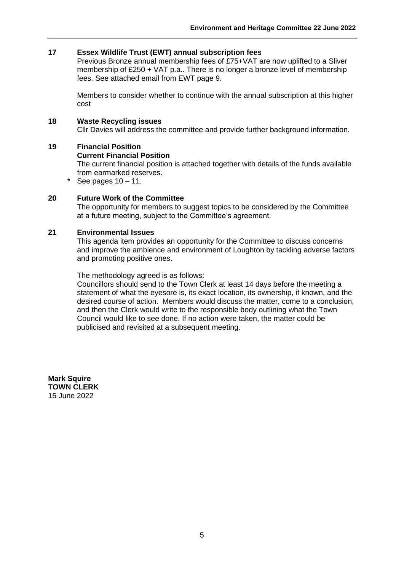#### **17 Essex Wildlife Trust (EWT) annual subscription fees**

Previous Bronze annual membership fees of £75+VAT are now uplifted to a Sliver membership of £250 + VAT p.a.. There is no longer a bronze level of membership fees. See attached email from EWT page 9.

Members to consider whether to continue with the annual subscription at this higher cost

#### **18 Waste Recycling issues**

Cllr Davies will address the committee and provide further background information.

#### **19 Financial Position**

#### **Current Financial Position**

The current financial position is attached together with details of the funds available from earmarked reserves.

\* See pages  $10 - 11$ .

#### **20 Future Work of the Committee**

The opportunity for members to suggest topics to be considered by the Committee at a future meeting, subject to the Committee's agreement.

#### **21 Environmental Issues**

This agenda item provides an opportunity for the Committee to discuss concerns and improve the ambience and environment of Loughton by tackling adverse factors and promoting positive ones.

The methodology agreed is as follows:

Councillors should send to the Town Clerk at least 14 days before the meeting a statement of what the eyesore is, its exact location, its ownership, if known, and the desired course of action. Members would discuss the matter, come to a conclusion, and then the Clerk would write to the responsible body outlining what the Town Council would like to see done. If no action were taken, the matter could be publicised and revisited at a subsequent meeting.

**Mark Squire TOWN CLERK**  15 June 2022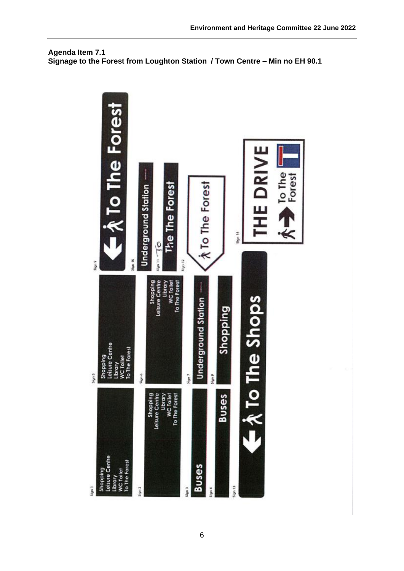

# **Agenda Item 7.1 Signage to the Forest from Loughton Station / Town Centre – Min no EH 90.1**

**Environment and Heritage Committee 22 June 2022**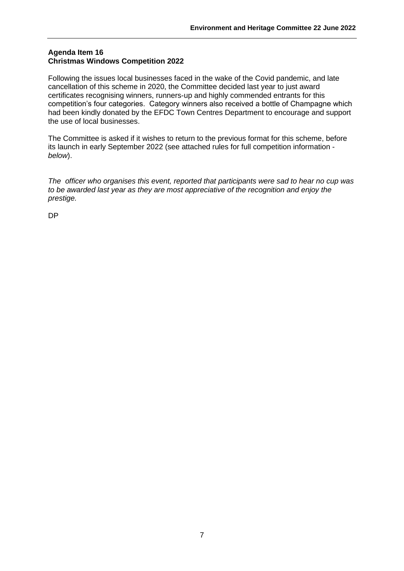#### **Agenda Item 16 Christmas Windows Competition 2022**

Following the issues local businesses faced in the wake of the Covid pandemic, and late cancellation of this scheme in 2020, the Committee decided last year to just award certificates recognising winners, runners-up and highly commended entrants for this competition's four categories. Category winners also received a bottle of Champagne which had been kindly donated by the EFDC Town Centres Department to encourage and support the use of local businesses.

The Committee is asked if it wishes to return to the previous format for this scheme, before its launch in early September 2022 (see attached rules for full competition information *below*).

*The officer who organises this event, reported that participants were sad to hear no cup was to be awarded last year as they are most appreciative of the recognition and enjoy the prestige.*

DP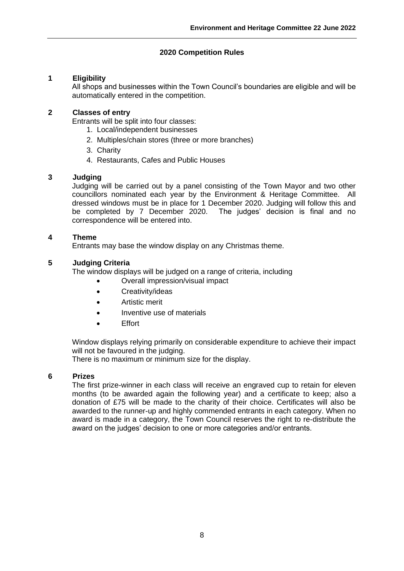# **2020 Competition Rules**

### **1 Eligibility**

All shops and businesses within the Town Council's boundaries are eligible and will be automatically entered in the competition.

#### **2 Classes of entry**

Entrants will be split into four classes:

- 1. Local/independent businesses
- 2. Multiples/chain stores (three or more branches)
- 3. Charity
- 4. Restaurants, Cafes and Public Houses

# **3 Judging**

Judging will be carried out by a panel consisting of the Town Mayor and two other councillors nominated each year by the Environment & Heritage Committee. All dressed windows must be in place for 1 December 2020. Judging will follow this and be completed by 7 December 2020. The judges' decision is final and no correspondence will be entered into.

# **4 Theme**

Entrants may base the window display on any Christmas theme.

# **5 Judging Criteria**

The window displays will be judged on a range of criteria, including

- Overall impression/visual impact
- Creativity/ideas
- Artistic merit
- Inventive use of materials
- Effort

Window displays relying primarily on considerable expenditure to achieve their impact will not be favoured in the judging.

There is no maximum or minimum size for the display.

# **6 Prizes**

The first prize-winner in each class will receive an engraved cup to retain for eleven months (to be awarded again the following year) and a certificate to keep; also a donation of £75 will be made to the charity of their choice. Certificates will also be awarded to the runner-up and highly commended entrants in each category. When no award is made in a category, the Town Council reserves the right to re-distribute the award on the judges' decision to one or more categories and/or entrants.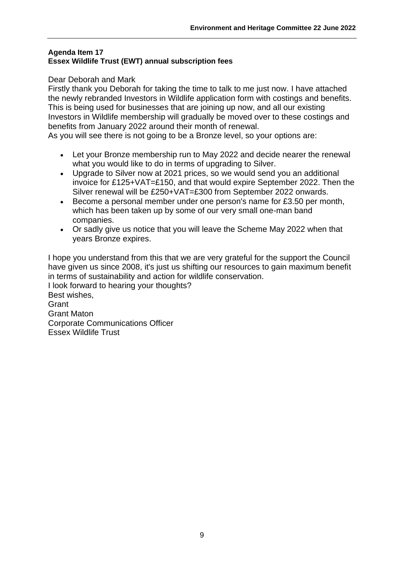# **Agenda Item 17 Essex Wildlife Trust (EWT) annual subscription fees**

# Dear Deborah and Mark

Firstly thank you Deborah for taking the time to talk to me just now. I have attached the newly rebranded Investors in Wildlife application form with costings and benefits. This is being used for businesses that are joining up now, and all our existing Investors in Wildlife membership will gradually be moved over to these costings and benefits from January 2022 around their month of renewal.

As you will see there is not going to be a Bronze level, so your options are:

- Let your Bronze membership run to May 2022 and decide nearer the renewal what you would like to do in terms of upgrading to Silver.
- Upgrade to Silver now at 2021 prices, so we would send you an additional invoice for £125+VAT=£150, and that would expire September 2022. Then the Silver renewal will be £250+VAT=£300 from September 2022 onwards.
- Become a personal member under one person's name for £3.50 per month, which has been taken up by some of our very small one-man band companies.
- Or sadly give us notice that you will leave the Scheme May 2022 when that years Bronze expires.

I hope you understand from this that we are very grateful for the support the Council have given us since 2008, it's just us shifting our resources to gain maximum benefit in terms of sustainability and action for wildlife conservation. I look forward to hearing your thoughts? Best wishes, **Grant** Grant Maton Corporate Communications Officer Essex Wildlife Trust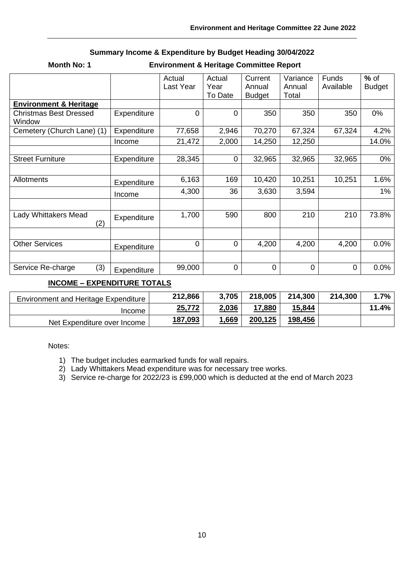| <b>Month No: 1</b><br><b>Environment &amp; Heritage Committee Report</b> |             |                     |                           |                                    |                             |                           |                         |
|--------------------------------------------------------------------------|-------------|---------------------|---------------------------|------------------------------------|-----------------------------|---------------------------|-------------------------|
|                                                                          |             | Actual<br>Last Year | Actual<br>Year<br>To Date | Current<br>Annual<br><b>Budget</b> | Variance<br>Annual<br>Total | <b>Funds</b><br>Available | $%$ of<br><b>Budget</b> |
| <b>Environment &amp; Heritage</b>                                        |             |                     |                           |                                    |                             |                           |                         |
| <b>Christmas Best Dressed</b><br>Window                                  | Expenditure | $\mathbf 0$         | $\mathbf 0$               | 350                                | 350                         | 350                       | 0%                      |
| Cemetery (Church Lane) (1)                                               | Expenditure | 77,658              | 2,946                     | 70,270                             | 67,324                      | 67,324                    | 4.2%                    |
|                                                                          | Income      | 21,472              | 2,000                     | 14,250                             | 12,250                      |                           | 14.0%                   |
|                                                                          |             |                     |                           |                                    |                             |                           |                         |
| <b>Street Furniture</b>                                                  | Expenditure | 28,345              | $\mathbf 0$               | 32,965                             | 32,965                      | 32,965                    | 0%                      |
|                                                                          |             |                     |                           |                                    |                             |                           |                         |
| <b>Allotments</b>                                                        | Expenditure | 6,163               | 169                       | 10,420                             | 10,251                      | 10,251                    | 1.6%                    |
|                                                                          | Income      | 4,300               | 36                        | 3,630                              | 3,594                       |                           | $1\%$                   |
|                                                                          |             |                     |                           |                                    |                             |                           |                         |
| Lady Whittakers Mead<br>(2)                                              | Expenditure | 1,700               | 590                       | 800                                | 210                         | 210                       | 73.8%                   |
|                                                                          |             |                     |                           |                                    |                             |                           |                         |
| <b>Other Services</b>                                                    | Expenditure | $\mathbf 0$         | $\mathbf 0$               | 4,200                              | 4,200                       | 4,200                     | $0.0\%$                 |
|                                                                          |             |                     |                           |                                    |                             |                           |                         |
| (3)<br>Service Re-charge                                                 | Expenditure | 99,000              | $\mathbf 0$               | 0                                  | 0                           | 0                         | 0.0%                    |
|                                                                          |             |                     |                           |                                    |                             |                           |                         |

# **Summary Income & Expenditure by Budget Heading 30/04/2022**

# **INCOME – EXPENDITURE TOTALS**

| <b>Environment and Heritage Expenditure</b> | 212,866 | 3,705        | 218,005 | 214,300 | 214,300 | 1.7%     |
|---------------------------------------------|---------|--------------|---------|---------|---------|----------|
| <b>Income</b>                               | 25,772  | 2,036        | 17,880  | 15,844  |         | $11.4\%$ |
| Net Expenditure over Income                 | 187,093 | <u>1,669</u> | 200,125 | 198,456 |         |          |

Notes:

- 1) The budget includes earmarked funds for wall repairs.
- 2) Lady Whittakers Mead expenditure was for necessary tree works.
- 3) Service re-charge for 2022/23 is £99,000 which is deducted at the end of March 2023